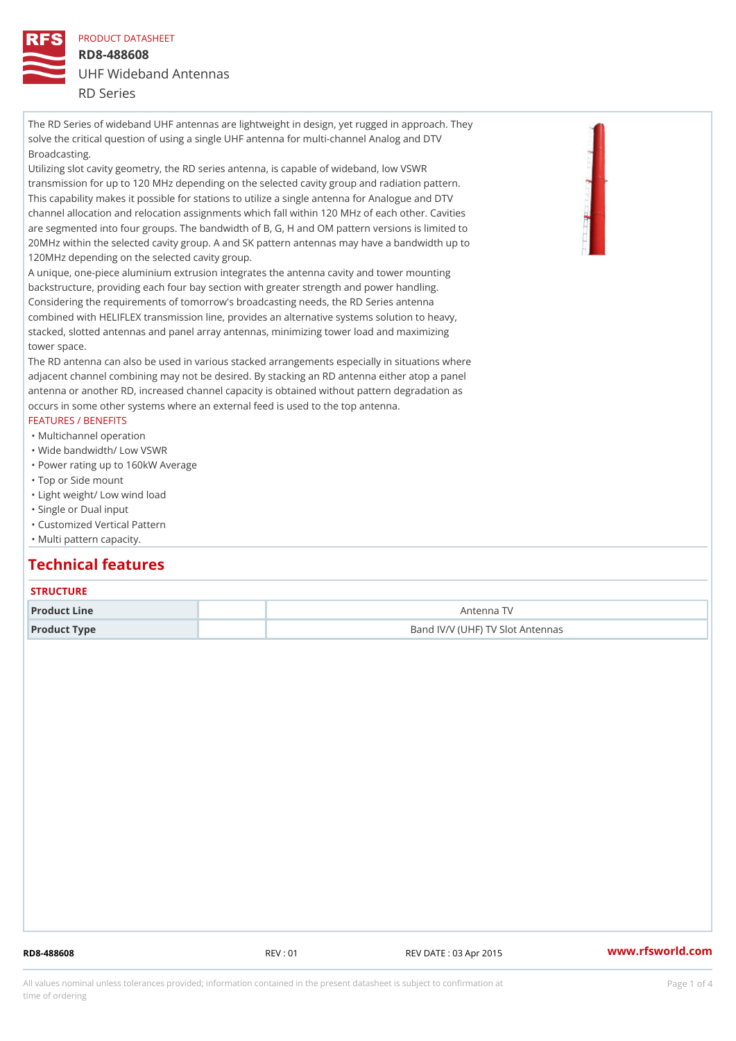PRODUCT DATASHEET RD8-488608 UHF Wideband Antennas RD Series

The RD Series of wideband UHF antennas are lightweight in design, yet rugged in approach. They solve the critical question of using a single UHF antenna for multi-channel Analog and DTV Broadcasting.

Utilizing slot cavity geometry, the RD series antenna, is capable of wideband, low VSWR transmission for up to 120 MHz depending on the selected cavity group and radiation pattern. This capability makes it possible for stations to utilize a single antenna for Analogue and DTV channel allocation and relocation assignments which fall within 120 MHz of each other. Cavities are segmented into four groups. The bandwidth of B, G, H and OM pattern versions is limited to 20MHz within the selected cavity group. A and SK pattern antennas may have a bandwidth up to 120MHz depending on the selected cavity group.

A unique, one-piece aluminium extrusion integrates the antenna cavity and tower mounting backstructure, providing each four bay section with greater strength and power handling. Considering the requirements of tomorrow's broadcasting needs, the RD Series antenna combined with HELIFLEX transmission line, provides an alternative systems solution to heavy, stacked, slotted antennas and panel array antennas, minimizing tower load and maximizing tower space.

The RD antenna can also be used in various stacked arrangements especially in situations where adjacent channel combining may not be desired. By stacking an RD antenna either atop a panel antenna or another RD, increased channel capacity is obtained without pattern degradation as occurs in some other systems where an external feed is used to the top antenna.

### FEATURES / BENEFITS

- "Multichannel operation
- "Wide bandwidth/ Low VSWR
- "Power rating up to 160kW Average
- "Top or Side mount
- "Light weight/ Low wind load
- "Single or Dual input
- "Customized Vertical Pattern
- "Multi pattern capacity.

# Technical features

### **STRUCTURE**

| Product Line | Antenna TV                       |
|--------------|----------------------------------|
| Product Type | Band IV/V (UHF) TV Slot Antennas |

RD8-488608 REV : 01 REV DATE : 03 Apr 2015 [www.](https://www.rfsworld.com)rfsworld.com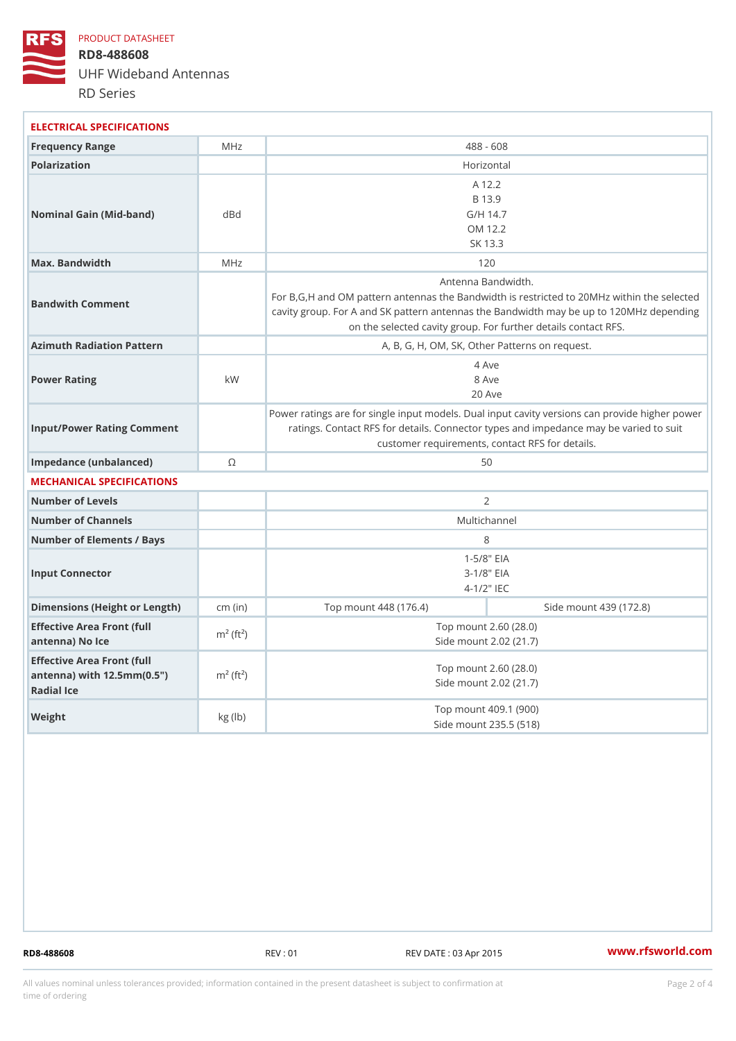PRODUCT DATASHEET

RD8-488608 UHF Wideband Antennas RD Series

| ELECTRICAL SPECIFICATIONS                                                                            |                          |                                                                                                                                                                                                                        |                        |  |
|------------------------------------------------------------------------------------------------------|--------------------------|------------------------------------------------------------------------------------------------------------------------------------------------------------------------------------------------------------------------|------------------------|--|
| Frequency Range                                                                                      | MHz                      | $488 - 608$                                                                                                                                                                                                            |                        |  |
| Polarization                                                                                         |                          | Horizontal                                                                                                                                                                                                             |                        |  |
| Nominal Gain (Mid-band)                                                                              | d B d                    | A 12.2<br>B 13.9<br>$G/H$ 14.7<br>OM 12.2<br>SK 13.3                                                                                                                                                                   |                        |  |
| Max. Bandwidth                                                                                       | MHz                      | 120                                                                                                                                                                                                                    |                        |  |
| Bandwith Comment                                                                                     |                          | Antenna Bandwidth.<br>For B, G, H and OM pattern antennas the Bandwidth is restricted to<br>cavity group. For A and SK pattern antennas the Bandwidth may b<br>on the selected cavity group. For further details conta |                        |  |
| Azimuth Radiation Pattern                                                                            |                          | A, B, G, H, OM, SK, Other Patterns on request.                                                                                                                                                                         |                        |  |
| Power Rating                                                                                         | k W                      | 4 Ave<br>8 Ave<br>$20$ Ave                                                                                                                                                                                             |                        |  |
| Input/Power Rating Comment                                                                           |                          | Power ratings are for single input models. Dual input cavity versid<br>ratings. Contact RFS for details. Connector types and impedand<br>customer requirements, contact RFS for details.                               |                        |  |
| Impedance (unbalanced)                                                                               | $\odot$                  | 50                                                                                                                                                                                                                     |                        |  |
| MECHANICAL SPECIFICATIONS                                                                            |                          |                                                                                                                                                                                                                        |                        |  |
| Number of Levels                                                                                     |                          | 2                                                                                                                                                                                                                      |                        |  |
| Number of Channels                                                                                   |                          | Multichannel                                                                                                                                                                                                           |                        |  |
| Number of Elements / Bays                                                                            |                          | 8                                                                                                                                                                                                                      |                        |  |
| Input Connector                                                                                      |                          | $1 - 5/8$ $EIA$<br>$3 - 1/8"$ EIA<br>$4 - 1/2$ $\top$ IEC                                                                                                                                                              |                        |  |
| Dimensions (Height or Length) (in)                                                                   |                          | Top mount 448 (176.4)                                                                                                                                                                                                  | Side mount 439 (172.8) |  |
| Effective Area Front (full<br>antenna) No Ice                                                        | $m^2$ (ft <sup>2</sup> ) | Top mount 2.60 (28.0)<br>Side mount 2.02 (21.7)                                                                                                                                                                        |                        |  |
| Effective Area Front (full<br>antenna) with $12.5$ mm $(0.5$ " $m2$ (ft <sup>2</sup> )<br>Radial Ice |                          | Top mount 2.60 (28.0)<br>Side mount 2.02 (21.7)                                                                                                                                                                        |                        |  |
| Weight                                                                                               | $kg$ ( $lb$ )            | Top mount 409.1 (900)<br>Side mount 235.5 (518)                                                                                                                                                                        |                        |  |

RD8-488608 REV : 01 REV DATE : 03 Apr 2015 [www.](https://www.rfsworld.com)rfsworld.com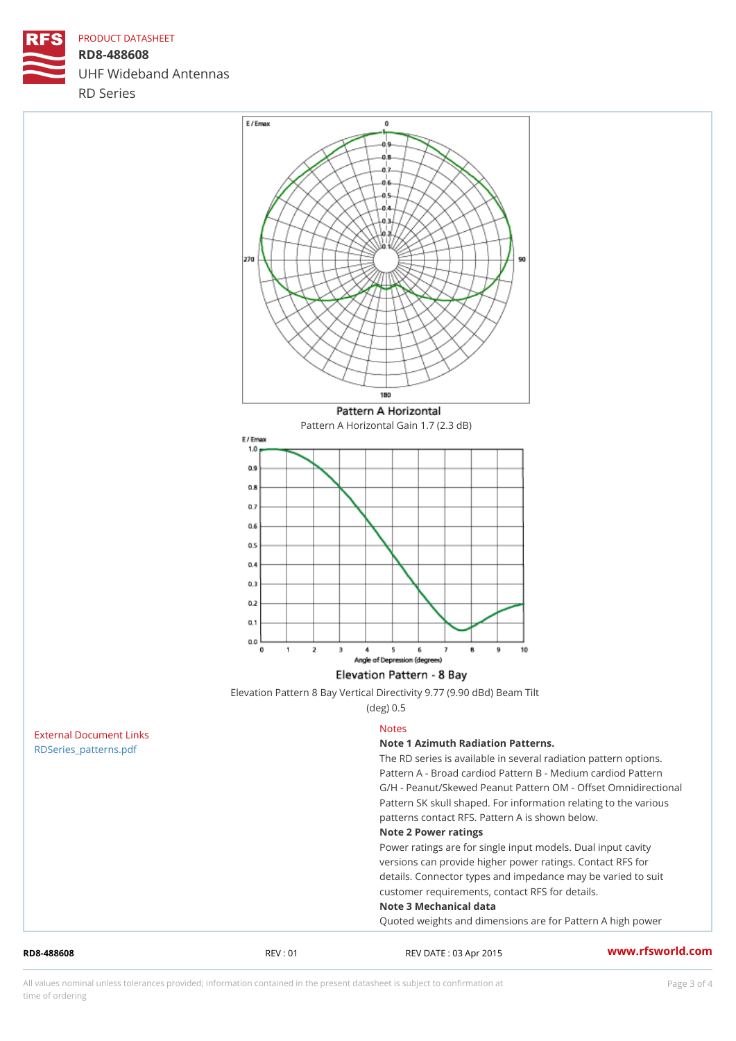## PRODUCT DATASHEET

RD8-488608 UHF Wideband Antennas RD Series

Pattern A Horizontal Gain 1.7 (2.3 dB)

| Elevation Pattern 8 Bay Vertical Directivity 9.77 (9.90 dBd) Beam Tilt |  |           |  |  |  |  |
|------------------------------------------------------------------------|--|-----------|--|--|--|--|
|                                                                        |  | (deg) 0.5 |  |  |  |  |

| RD8-488608              | REV: 01 | REV DATE: 03 Apr 2015                               | www.rfsworld.co |  |
|-------------------------|---------|-----------------------------------------------------|-----------------|--|
|                         |         | Quoted weights and dimensions are for Pattern A h   |                 |  |
|                         |         | Note 3 Mechanical data                              |                 |  |
|                         |         | customer requirements, contact RFS for details.     |                 |  |
|                         |         | details. Connector types and impedance may be va    |                 |  |
|                         |         | versions can provide higher power ratings. Contac   |                 |  |
|                         |         | Power ratings are for single input models. Dual in  |                 |  |
|                         |         | Note 2 Power ratings                                |                 |  |
|                         |         | patterns contact RFS. Pattern A is shown below.     |                 |  |
|                         |         | Pattern SK skull shaped. For information relating   |                 |  |
|                         |         | G/H - Peanut/Skewed Peanut Pattern OM - Offset C    |                 |  |
|                         |         | Pattern A - Broad cardiod Pattern B - Medium dard   |                 |  |
|                         |         | The RD series is available in several radiation pat |                 |  |
| RDSeries_patterns.pdf   |         | Note 1 Azimuth Radiation Patterns.                  |                 |  |
| External Document Links |         | <b>Notes</b>                                        |                 |  |

All values nominal unless tolerances provided; information contained in the present datasheet is subject to Pcapgeling that i time of ordering